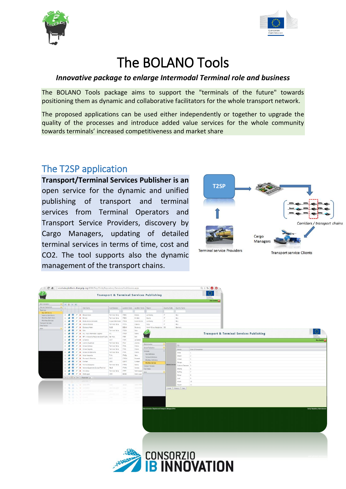



# The BOLANO Tools

### *Innovative package to enlarge Intermodal Terminal role and business*

The BOLANO Tools package aims to support the "terminals of the future" towards positioning them as dynamic and collaborative facilitators for the whole transport network.

The proposed applications can be used either independently or together to upgrade the quality of the processes and introduce added value services for the whole community towards terminals' increased competitiveness and market share

## The T2SP application

**Transport/Terminal Services Publisher is an** open service for the dynamic and unified publishing of transport and terminal services from Terminal Operators and Transport Service Providers, discovery by Cargo Managers, updating of detailed terminal services in terms of time, cost and CO2. The tool supports also the dynamic management of the transport chains.



| Administration                      |               | $-101$             |               |                 |                                                    |                                      |                                    |                   |                                         |                     |                           |                                                     |
|-------------------------------------|---------------|--------------------|---------------|-----------------|----------------------------------------------------|--------------------------------------|------------------------------------|-------------------|-----------------------------------------|---------------------|---------------------------|-----------------------------------------------------|
| Service Publication                 | $\rightarrow$ |                    |               |                 | Hub Name                                           | Hub Operator                         | Location Code Location Name Region |                   |                                         |                     | Country Code Country Name |                                                     |
| Terminals<br><b>Hub Definitions</b> | $\sim$        |                    |               |                 |                                                    |                                      |                                    |                   |                                         |                     |                           |                                                     |
| Terminal Definitions                |               | $\Box$             |               |                 | <b>B</b> O / X Bresca Scalo                        | Terminali italia                     | ITBRC                              | Brescia           | Lombardy                                | $\pi$               | ttay                      |                                                     |
| Workflow Definitions                | m.            | a.                 | œ             |                 | $\mathscr{C}$ <b>x</b> Brindisi                    | Terminal Italia                      | ITBDS                              | Brindisi          | Apulla                                  | $\overline{\alpha}$ | <b>Raly</b>               |                                                     |
| Workflow Services                   | $\mathbb{R}$  |                    |               |                 | X Busto Arsizio-Gallarate                          | Hupac Intermodal                     | ITBUA                              | Busto Arsizio     | Lombardy                                |                     | <b>Raly</b>               |                                                     |
| Vansport Services<br>Time Tables    |               | s.                 | Ø.            |                 | X Catania Bicocca                                  | Terminali Italia                     | <b>ITCTA</b>                       | Catarva           | Sidly.                                  | 17                  | Italy                     |                                                     |
| Main                                |               |                    | o             |                 | / X Duisburg Hafen                                 | <b>DUSS</b>                          | DEDUI                              | Duisburg          | North Rhine-Westphalia DE               |                     | Germany                   |                                                     |
|                                     |               | a.                 | o             | $2 \times$ Gela |                                                    | Terminali Italia                     | <b>ITGEA</b>                       | Gela .            |                                         |                     |                           |                                                     |
|                                     |               |                    |               |                 | X HI, - Hun Intermodal Logistic                    | HIL                                  | <b>TTPMF</b>                       | Parma             |                                         |                     |                           | <b>Transport &amp; Terminal Services Publishing</b> |
|                                     |               |                    |               |                 | X IRP - Interporto Regionale delle Puglie Bari Hub |                                      | ITBRI                              | Barl              | <b>TOWN</b>                             |                     |                           |                                                     |
|                                     |               |                    |               |                 | X La Soezia                                        | <b>ISCT</b>                          | <b>ITSPE</b>                       | La Spezia         |                                         |                     |                           | <b>Dine Serafini (2)</b>                            |
|                                     |               |                    |               |                 | X Lvorno Guasticce<br>K Milano Certosa             | Terminali Italia                     | ITUV.                              | Livorno           | Administration                          |                     | 88                        |                                                     |
|                                     |               |                    |               |                 | / X Milano Segrate                                 | Terminali Italia<br>Terminali Italia | <b>ITMIL</b><br><b>ITMIL</b>       | Milano<br>Miano   | Service Publication                     |                     | Service                   | Order Of Completion                                 |
|                                     |               |                    |               |                 | / X Miano Smistamento                              | Terminali Italia                     | <b>ITMIL</b>                       | Miano             | ferminals.                              |                     | Arrive                    | $\mathbf{1}$                                        |
|                                     |               |                    |               |                 | X Noia Interporto                                  | T.I.N.                               | ITNOL.                             | Nola              | Hub Definitions                         |                     | Detach                    | 2                                                   |
|                                     |               |                    |               |                 | X Pomezia S. Palomba                               | S.G.T.                               | <b>ITPOM</b>                       | Pomezia           | Terminal Definitions                    |                     | Unioad                    | $\rightarrow$                                       |
|                                     |               |                    |               |                 | <b>X</b> Purteet                                   | CRO.                                 | <b>GBPFT</b>                       | Purfieet          | Workfow Definitions                     |                     | Storage                   | $\overline{4}$                                      |
|                                     |               |                    |               |                 | X Torino Orbassaro                                 | Terminall Italia                     | <b>ITTRN</b>                       | Torino            | Worldfow Services<br>Transport Services | Selected Services   | Customs Clearance 5       |                                                     |
|                                     |               |                    |               |                 | X Verona Quadrante Europa Terminal                 | RILVE                                | <b>ITVRN</b>                       | Vercha-           | Time Tables                             |                     | Striping                  | 6                                                   |
|                                     |               | 前                  |               |                 | / X Vita Selva                                     | Terminali Italia                     | ITFPP:                             | Fortimpop         | Main                                    |                     | Stuffing                  | $\tau$                                              |
|                                     |               | <b>S</b><br>$\Box$ | $\circ$       |                 | / X Zeebrugge                                      | CRO                                  | BEZEE                              | Zeebrugge         |                                         |                     | Pickup                    | 8                                                   |
|                                     |               |                    |               |                 | N 4 1 > N Page size: 20 +                          |                                      |                                    |                   |                                         |                     | Load                      | 9                                                   |
|                                     |               |                    |               |                 | A low-state with a compensation                    |                                      |                                    |                   |                                         |                     | Attach                    | 10                                                  |
|                                     |               |                    |               |                 | The Group of Denveron                              | <b>CIO</b>                           | <b>ACTION</b>                      | District          |                                         |                     | Depart                    | 11                                                  |
|                                     |               |                    |               |                 | <b>THE GET A RESIDENT</b>                          | <b>Secondary Service</b>             | <b>STAR</b>                        | <b>STATISTICS</b> |                                         |                     | Cancel Previous Next      |                                                     |
|                                     |               |                    | <b>SET OF</b> | <b>CONTRACT</b> |                                                    |                                      | <b>STAR</b>                        | <b>STATISTICS</b> |                                         |                     |                           |                                                     |
|                                     |               |                    | 33.441        |                 | ALC: NO SERVICES                                   |                                      | <b>SAP</b>                         | <b>Service</b>    |                                         |                     |                           |                                                     |
|                                     |               |                    | <b>SALE</b>   |                 |                                                    |                                      |                                    |                   |                                         |                     |                           |                                                     |
|                                     |               |                    |               |                 |                                                    |                                      |                                    |                   |                                         |                     |                           |                                                     |